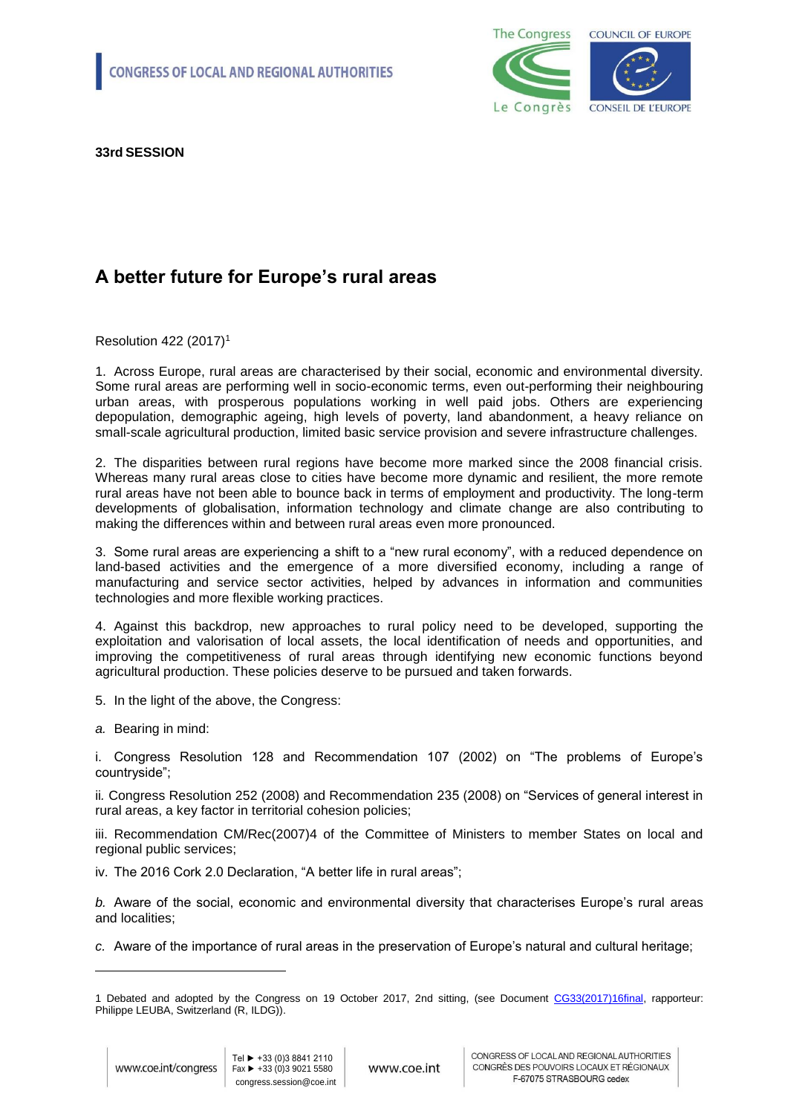

**33rd SESSION**

## **A better future for Europe's rural areas**

Resolution 422 (2017)<sup>1</sup>

1. Across Europe, rural areas are characterised by their social, economic and environmental diversity. Some rural areas are performing well in socio-economic terms, even out-performing their neighbouring urban areas, with prosperous populations working in well paid jobs. Others are experiencing depopulation, demographic ageing, high levels of poverty, land abandonment, a heavy reliance on small-scale agricultural production, limited basic service provision and severe infrastructure challenges.

2. The disparities between rural regions have become more marked since the 2008 financial crisis. Whereas many rural areas close to cities have become more dynamic and resilient, the more remote rural areas have not been able to bounce back in terms of employment and productivity. The long-term developments of globalisation, information technology and climate change are also contributing to making the differences within and between rural areas even more pronounced.

3. Some rural areas are experiencing a shift to a "new rural economy", with a reduced dependence on land-based activities and the emergence of a more diversified economy, including a range of manufacturing and service sector activities, helped by advances in information and communities technologies and more flexible working practices.

4. Against this backdrop, new approaches to rural policy need to be developed, supporting the exploitation and valorisation of local assets, the local identification of needs and opportunities, and improving the competitiveness of rural areas through identifying new economic functions beyond agricultural production. These policies deserve to be pursued and taken forwards.

- 5. In the light of the above, the Congress:
- *a.* Bearing in mind:

i. Congress Resolution 128 and Recommendation 107 (2002) on "The problems of Europe's countryside";

ii*.* Congress Resolution 252 (2008) and Recommendation 235 (2008) on "Services of general interest in rural areas, a key factor in territorial cohesion policies;

iii. Recommendation CM/Rec(2007)4 of the Committee of Ministers to member States on local and regional public services;

iv. The 2016 Cork 2.0 Declaration, "A better life in rural areas";

*b.* Aware of the social, economic and environmental diversity that characterises Europe's rural areas and localities;

*c.* Aware of the importance of rural areas in the preservation of Europe's natural and cultural heritage;

1

<sup>1</sup> Debated and adopted by the Congress on 19 October 2017, 2nd sitting, (see Document [CG33\(2017\)16final,](http://rm.coe.int/a-better-future-for-europe-s-rural-areas-governance-committee-rapporte/168074b728) rapporteur: Philippe LEUBA, Switzerland (R, ILDG)).